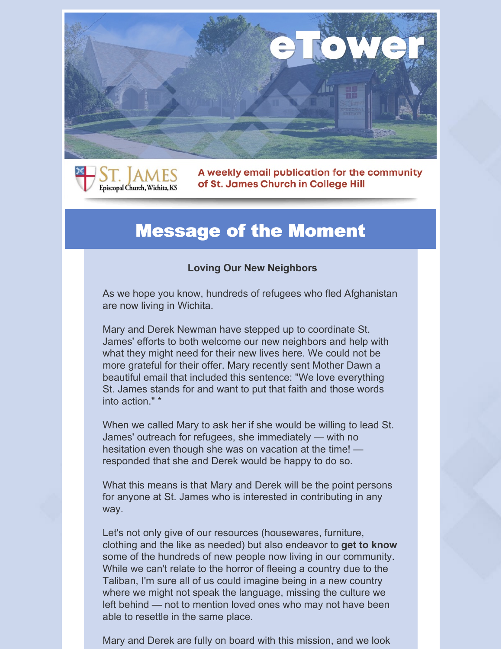



A weekly email publication for the community of St. James Church in College Hill

#### Message of the Moment

#### **Loving Our New Neighbors**

As we hope you know, hundreds of refugees who fled Afghanistan are now living in Wichita.

Mary and Derek Newman have stepped up to coordinate St. James' efforts to both welcome our new neighbors and help with what they might need for their new lives here. We could not be more grateful for their offer. Mary recently sent Mother Dawn a beautiful email that included this sentence: "We love everything St. James stands for and want to put that faith and those words into action." \*

When we called Mary to ask her if she would be willing to lead St. James' outreach for refugees, she immediately — with no hesitation even though she was on vacation at the time! responded that she and Derek would be happy to do so.

What this means is that Mary and Derek will be the point persons for anyone at St. James who is interested in contributing in any way.

Let's not only give of our resources (housewares, furniture, clothing and the like as needed) but also endeavor to **get to know** some of the hundreds of new people now living in our community. While we can't relate to the horror of fleeing a country due to the Taliban, I'm sure all of us could imagine being in a new country where we might not speak the language, missing the culture we left behind — not to mention loved ones who may not have been able to resettle in the same place.

Mary and Derek are fully on board with this mission, and we look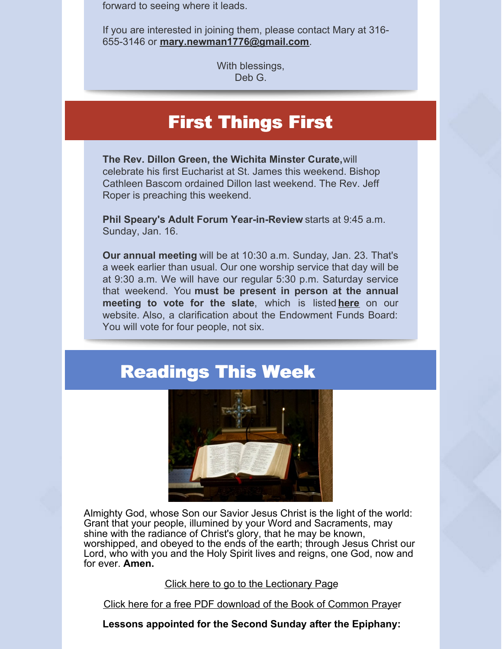forward to seeing where it leads.

If you are interested in joining them, please contact Mary at 316- 655-3146 or **[mary.newman1776@gmail.com](mailto:mary.newman1776@gmail.com)**.

> With blessings, Deb G.

## First Things First

**The Rev. Dillon Green, the Wichita Minster Curate,**will celebrate his first Eucharist at St. James this weekend. Bishop Cathleen Bascom ordained Dillon last weekend. The Rev. Jeff Roper is preaching this weekend.

**Phil Speary's Adult Forum Year-in-Review** starts at 9:45 a.m. Sunday, Jan. 16.

**Our annual meeting** will be at 10:30 a.m. Sunday, Jan. 23. That's a week earlier than usual. Our one worship service that day will be at 9:30 a.m. We will have our regular 5:30 p.m. Saturday service that weekend. You **must be present in person at the annual meeting to vote for the slate**, which is listed **[here](https://stjameswichita.org/2022-slate/)** on our website. Also, a clarification about the Endowment Funds Board: You will vote for four people, not six.

## Readings This Week



Almighty God, whose Son our Savior Jesus Christ is the light of the world: Grant that your people, illumined by your Word and Sacraments, may shine with the radiance of Christ's glory, that he may be known, worshipped, and obeyed to the ends of the earth; through Jesus Christ our Lord, who with you and the Holy Spirit lives and reigns, one God, now and for ever. **Amen.**

Click here to go to the [Lectionary](http://www.lectionarypage.net/) Page

Click here for a free PDF [download](http://r20.rs6.net/tn.jsp?f=0015N_tvbvXKHVacYut7FXvkn7I6o69O2USnI1fPlAahtZ2xON9qoyuGGyfPC6l-cLt3gPN5ZgAEURHf5jgifVAEuui5w5n50dzp5p0ZjPtKSixR8_PsD6pb9kNWCw0yLEwk8SxB-g9KC0otumXSFx2WpDtzUyH4sHINYTH0ij9pNGVMlrtbLmwOfVvbs_WEiCpc-Ke5WomLUJgDu9c5kfaVgZG11m8X1fhNjZspXSD-9G1P2HqRtwRvIWpVB-FM8sPhNzjkjxp_58TfdT70PLOdV6a_l8cJCz7nD7rhfgfEiiFPWiTQYaNXI5kv1ACJGmpw0hQ4y4Dok0PDg6dSb8OvakqWLNY1XfD1NSsVstjWDJbIAsOJxShoJOQL_bPKBQfEyGlhMgbdcd3rQxXlq8meGLemuPu4NxrdOqx5sC4I-Nd0KorLnITAWmYLCYG6vww8p9CZjg-NzLGyfpx33m1Y6iWv9sMT88imYcvvYc9RZ_iBFjnPDAj3jW602fh_E6RTTULNdaK7lsZr3QMUEVHgv6_9cZBf8vcHwbnrmW2p6kZ6fLXaCv3OE-UAo9rswp1afAU7KYCeFZ4ISX8oKomQg==&c=BHQXvMlfeO4ye32HE5rvdCPYjqD_v32hA7ZGwL1XZLQL4LRFC0ULXQ==&ch=1ivdUt9kYwm3-xF_6qOMkGanmDGZtZkuLBVZ7lE_LwA9GzVEuntXZQ==) of the Book of Common Prayer

**Lessons appointed for the Second Sunday after the Epiphany:**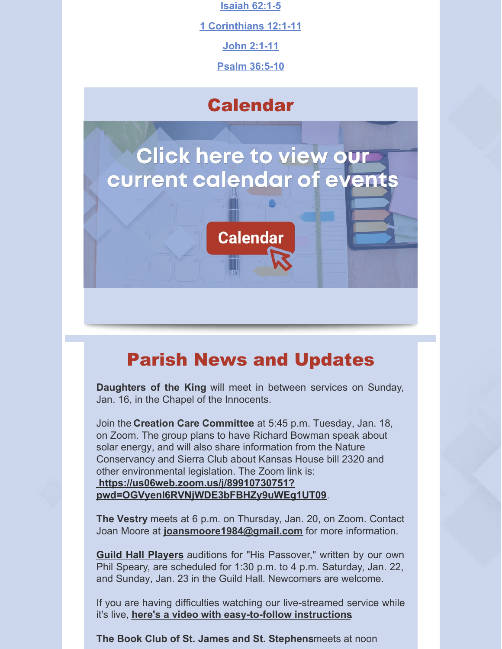**[Isaiah](http://www.lectionarypage.net/YearC_RCL/Epiphany/CEpi2_RCL.html#Ot1) 62:1-5**

**1 [Corinthians](http://www.lectionarypage.net/YearC_RCL/Epiphany/CEpi2_RCL.html#Nt1) 12:1-11**

**John [2:1-11](http://www.lectionarypage.net/YearC_RCL/Epiphany/CEpi2_RCL.html#Gsp1)**

**Psalm [36:5-10](http://www.lectionarypage.net/YearC_RCL/Epiphany/CEpi2_RCL.html#Ps1)**

#### **Calendar**

# **Click here to view our** current calendar of events



# Parish News and Updates

**Daughters of the King** will meet in between services on Sunday, Jan. 16, in the Chapel of the Innocents.

Join the **Creation Care Committee** at 5:45 p.m. Tuesday, Jan. 18, on Zoom. The group plans to have Richard Bowman speak about solar energy, and will also share information from the Nature Conservancy and Sierra Club about Kansas House bill 2320 and other environmental legislation. The Zoom link is: **https://us06web.zoom.us/j/89910730751? [pwd=OGVyenl6RVNjWDE3bFBHZy9uWEg1UT09](https://us06web.zoom.us/j/89910730751?pwd=OGVyenl6RVNjWDE3bFBHZy9uWEg1UT09)**.

**The Vestry** meets at 6 p.m. on Thursday, Jan. 20, on Zoom. Contact Joan Moore at **[joansmoore1984@gmail.com](mailto:joansmoore1984@gmail.com)** for more information.

**Guild Hall [Players](https://stjameswichita.org/2021-22-guild-hall-players-season/)** auditions for "His Passover," written by our own Phil Speary, are scheduled for 1:30 p.m. to 4 p.m. Saturday, Jan. 22, and Sunday, Jan. 23 in the Guild Hall. Newcomers are welcome.

If you are having difficulties watching our live-streamed service while it's live, **here's a video with [easy-to-follow](https://www.youtube.com/watch?v=iVYmOqkds-E) instructions**.

**The Book Club of St. James and St. Stephens**meets at noon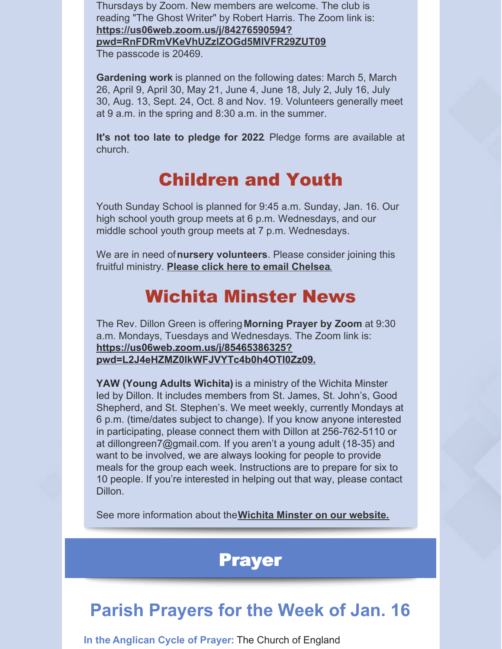Thursdays by Zoom. New members are welcome. The club is reading "The Ghost Writer" by Robert Harris. The Zoom link is: **https://us06web.zoom.us/j/84276590594?**

**[pwd=RnFDRmVKeVhUZzlZOGd5MlVFR29ZUT09](https://us06web.zoom.us/j/84276590594?pwd=RnFDRmVKeVhUZzlZOGd5MlVFR29ZUT09)** The passcode is 20469.

**Gardening work** is planned on the following dates: March 5, March 26, April 9, April 30, May 21, June 4, June 18, July 2, July 16, July 30, Aug. 13, Sept. 24, Oct. 8 and Nov. 19. Volunteers generally meet at 9 a.m. in the spring and 8:30 a.m. in the summer.

**It's not too late to pledge for 2022**. Pledge forms are available at church.

## Children and Youth

Youth Sunday School is planned for 9:45 a.m. Sunday, Jan. 16. Our high school youth group meets at 6 p.m. Wednesdays, and our middle school youth group meets at 7 p.m. Wednesdays.

We are in need of**nursery volunteers**. Please consider joining this fruitful ministry. **Please click here to email [Chelsea](mailto:formation@stjameswichita.org)**[.](mailto:formation@stjameswichita.org)

# Wichita Minster News

The Rev. Dillon Green is offering**Morning Prayer by Zoom** at 9:30 a.m. Mondays, Tuesdays and Wednesdays. The Zoom link is: **https://us06web.zoom.us/j/85465386325? [pwd=L2J4eHZMZ0lkWFJVYTc4b0h4OTI0Zz09](https://us06web.zoom.us/j/85465386325?pwd=L2J4eHZMZ0lkWFJVYTc4b0h4OTI0Zz09).**

**YAW (Young Adults Wichita)** is a ministry of the Wichita Minster led by Dillon. It includes members from St. James, St. John's, Good Shepherd, and St. Stephen's. We meet weekly, currently Mondays at 6 p.m. (time/dates subject to change). If you know anyone interested in participating, please connect them with Dillon at 256-762-5110 or at [dillongreen7@gmail.com](mailto:dillongreen7@gmail.com). If you aren't a young adult (18-35) and want to be involved, we are always looking for people to provide meals for the group each week. Instructions are to prepare for six to 10 people. If you're interested in helping out that way, please contact Dillon.

See more information about the**Wichita Minster on our [website.](https://stjameswichita.org/wichita-minster/)**

#### Prayer

# **Parish Prayers for the Week of Jan. 16**

**In the [Anglican](https://www.anglicancommunion.org/resources/cycle-of-prayer/download-the-acp.aspx) Cycle of Prayer:** The Church of England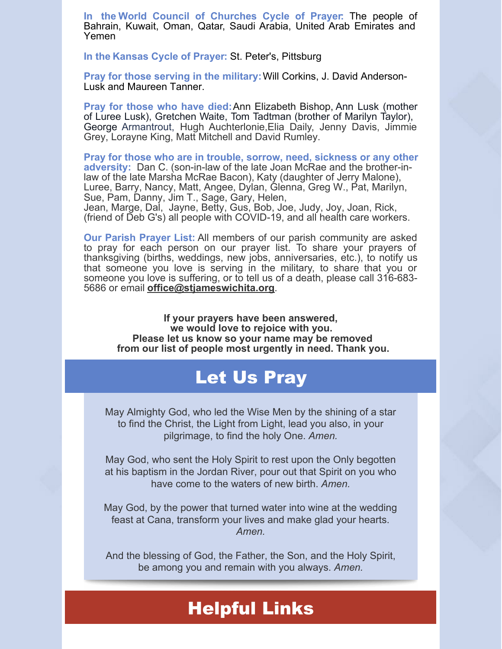**In the World Council of [Churches](https://www.oikoumene.org/resources/prayer-cycle) Cycle of Prayer:** The people of Bahrain, Kuwait, Oman, Qatar, Saudi Arabia, United Arab Emirates and Yemen

**In the [Kansas](http://www.episcopal-ks.org/resources/cycle-of-prayer.php) Cycle of Prayer:** St. Peter's, Pittsburg

**Pray for those serving in the military:**Will Corkins, J. David Anderson-Lusk and Maureen Tanner.

**Pray for those who have died:**Ann Elizabeth Bishop, Ann Lusk (mother of Luree Lusk), Gretchen Waite, Tom Tadtman (brother of Marilyn Taylor), George Armantrout, Hugh Auchterlonie,Elia Daily, Jenny Davis, Jimmie Grey, Lorayne King, Matt Mitchell and David Rumley.

**Pray for those who are in trouble, sorrow, need, sickness or any other adversity:** Dan C. (son-in-law of the late Joan McRae and the brother-inlaw of the late Marsha McRae Bacon), Katy (daughter of Jerry Malone), Luree, Barry, Nancy, Matt, Angee, Dylan, Glenna, Greg W., Pat, Marilyn, Sue, Pam, Danny, Jim T., Sage, Gary, Helen,

Jean, Marge, Dal, Jayne, Betty, Gus, Bob, Joe, Judy, Joy, Joan, Rick, (friend of Deb G's) all people with COVID-19, and all health care workers.

**Our Parish Prayer List:** All members of our parish community are asked to pray for each person on our prayer list. To share your prayers of thanksgiving (births, weddings, new jobs, anniversaries, etc.), to notify us that someone you love is serving in the military, to share that you or someone you love is suffering, or to tell us of a death, please call 316-683- 5686 or email **[office@stjameswichita.org](mailto:office@stjameswichita.org)**.

**If your prayers have been answered, we would love to rejoice with you. Please let us know so your name may be removed from our list of people most urgently in need. Thank you.**

## Let Us Pray

May Almighty God, who led the Wise Men by the shining of a star to find the Christ, the Light from Light, lead you also, in your pilgrimage, to find the holy One. *Amen.*

May God, who sent the Holy Spirit to rest upon the Only begotten at his baptism in the Jordan River, pour out that Spirit on you who have come to the waters of new birth. *Amen.*

May God, by the power that turned water into wine at the wedding feast at Cana, transform your lives and make glad your hearts. *Amen.*

And the blessing of God, the Father, the Son, and the Holy Spirit, be among you and remain with you always. *Amen.*

#### Helpful Links